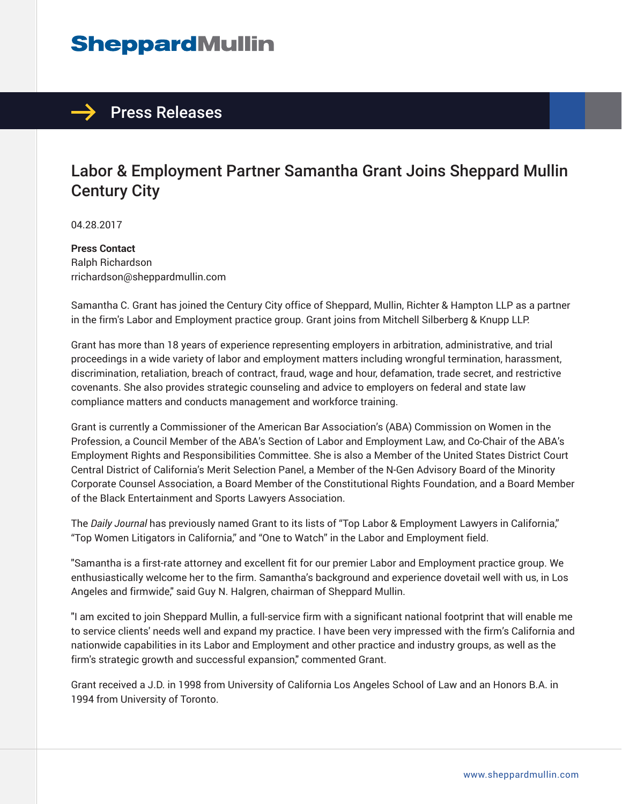## **SheppardMullin**



## Labor & Employment Partner Samantha Grant Joins Sheppard Mullin Century City

04.28.2017

**Press Contact** Ralph Richardson rrichardson@sheppardmullin.com

Samantha C. Grant has joined the Century City office of Sheppard, Mullin, Richter & Hampton LLP as a partner in the firm's Labor and Employment practice group. Grant joins from Mitchell Silberberg & Knupp LLP.

Grant has more than 18 years of experience representing employers in arbitration, administrative, and trial proceedings in a wide variety of labor and employment matters including wrongful termination, harassment, discrimination, retaliation, breach of contract, fraud, wage and hour, defamation, trade secret, and restrictive covenants. She also provides strategic counseling and advice to employers on federal and state law compliance matters and conducts management and workforce training.

Grant is currently a Commissioner of the American Bar Association's (ABA) Commission on Women in the Profession, a Council Member of the ABA's Section of Labor and Employment Law, and Co-Chair of the ABA's Employment Rights and Responsibilities Committee. She is also a Member of the United States District Court Central District of California's Merit Selection Panel, a Member of the N-Gen Advisory Board of the Minority Corporate Counsel Association, a Board Member of the Constitutional Rights Foundation, and a Board Member of the Black Entertainment and Sports Lawyers Association.

The *Daily Journal* has previously named Grant to its lists of "Top Labor & Employment Lawyers in California," "Top Women Litigators in California," and "One to Watch" in the Labor and Employment field.

"Samantha is a first-rate attorney and excellent fit for our premier Labor and Employment practice group. We enthusiastically welcome her to the firm. Samantha's background and experience dovetail well with us, in Los Angeles and firmwide," said Guy N. Halgren, chairman of Sheppard Mullin.

"I am excited to join Sheppard Mullin, a full-service firm with a significant national footprint that will enable me to service clients' needs well and expand my practice. I have been very impressed with the firm's California and nationwide capabilities in its Labor and Employment and other practice and industry groups, as well as the firm's strategic growth and successful expansion," commented Grant.

Grant received a J.D. in 1998 from University of California Los Angeles School of Law and an Honors B.A. in 1994 from University of Toronto.